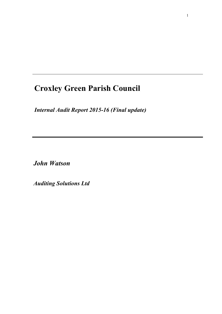# **Croxley Green Parish Council**

*Internal Audit Report 2015-16 (Final update)*

*John Watson* 

*Auditing Solutions Ltd*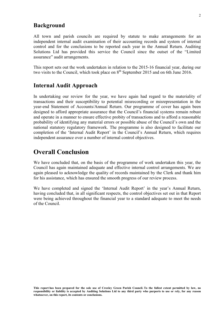### **Background**

All town and parish councils are required by statute to make arrangements for an independent internal audit examination of their accounting records and system of internal control and for the conclusions to be reported each year in the Annual Return. Auditing Solutions Ltd has provided this service the Council since the outset of the "Limited assurance" audit arrangements.

This report sets out the work undertaken in relation to the 2015-16 financial year, during our two visits to the Council, which took place on  $8<sup>th</sup>$  September 2015 and on 6th June 2016.

#### **Internal Audit Approach**

In undertaking our review for the year, we have again had regard to the materiality of transactions and their susceptibility to potential misrecording or misrepresentation in the year-end Statement of Accounts/Annual Return. Our programme of cover has again been designed to afford appropriate assurance that the Council's financial systems remain robust and operate in a manner to ensure effective probity of transactions and to afford a reasonable probability of identifying any material errors or possible abuse of the Council's own and the national statutory regulatory framework. The programme is also designed to facilitate our completion of the 'Internal Audit Report' in the Council's Annual Return, which requires independent assurance over a number of internal control objectives.

### **Overall Conclusion**

We have concluded that, on the basis of the programme of work undertaken this year, the Council has again maintained adequate and effective internal control arrangements. We are again pleased to acknowledge the quality of records maintained by the Clerk and thank him for his assistance, which has ensured the smooth progress of our review process.

We have completed and signed the 'Internal Audit Report' in the year's Annual Return, having concluded that, in all significant respects, the control objectives set out in that Report were being achieved throughout the financial year to a standard adequate to meet the needs of the Council.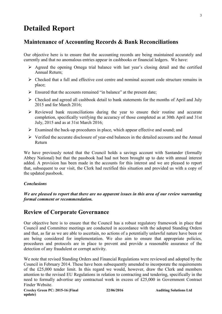## **Detailed Report**

### **Maintenance of Accounting Records & Bank Reconciliations**

Our objective here is to ensure that the accounting records are being maintained accurately and currently and that no anomalous entries appear in cashbooks or financial ledgers. We have:

- $\triangleright$  Agreed the opening Omega trial balance with last year's closing detail and the certified Annual Return;
- $\triangleright$  Checked that a full and effective cost centre and nominal account code structure remains in place;
- $\triangleright$  Ensured that the accounts remained "in balance" at the present date;
- $\triangleright$  Checked and agreed all cashbook detail to bank statements for the months of April and July 2015 and for March 2016;
- $\triangleright$  Reviewed bank reconciliations during the year to ensure their routine and accurate completion, specifically verifying the accuracy of those completed as at 30th April and 31st July, 2015 and as at 31st March 2016;
- $\triangleright$  Examined the back-up procedures in place, which appear effective and sound; and
- $\triangleright$  Verified the accurate disclosure of year-end balances in the detailed accounts and the Annual Return

We have previously noted that the Council holds a savings account with Santander (formally Abbey National) but that the passbook had had not been brought up to date with annual interest added. A provision has been made in the accounts for this interest and we are pleased to report that, subsequent to our visit, the Clerk had rectified this situation and provided us with a copy of the updated passbook.

#### *Conclusions*

*We are pleased to report that there are no apparent issues in this area of our review warranting formal comment or recommendation.* 

### **Review of Corporate Governance**

Our objective here is to ensure that the Council has a robust regulatory framework in place that Council and Committee meetings are conducted in accordance with the adopted Standing Orders and that, as far as we are able to ascertain, no actions of a potentially unlawful nature have been or are being considered for implementation. We also aim to ensure that appropriate policies, procedures and protocols are in place to prevent and provide a reasonable assurance of the detection of any fraudulent or corrupt activity.

We note that revised Standing Orders and Financial Regulations were reviewed and adopted by the Council in February 2014. These have been subsequently amended to incorporate the requirements of the £25,000 tender limit. In this regard we would, however, draw the Clerk and members attention to the revised EU Regulations in relation to contracting and tendering, specifically in the need to formally advertise any contractual work in excess of £25,000 in Government Contract Finder Website.

**Croxley Green PC: 2015-16 (Final update)** 

**22/06/2016 Auditing Solutions Ltd**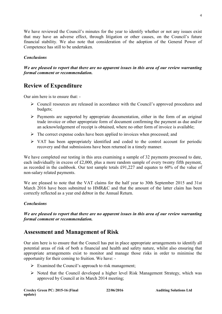We have reviewed the Council's minutes for the year to identify whether or not any issues exist that may have an adverse effect, through litigation or other causes, on the Council's future financial stability. We also note that consideration of the adoption of the General Power of Competence has still to be undertaken.

#### *Conclusions*

*We are pleased to report that there are no apparent issues in this area of our review warranting formal comment or recommendation.* 

### **Review of Expenditure**

Our aim here is to ensure that: -

- $\triangleright$  Council resources are released in accordance with the Council's approved procedures and budgets;
- $\triangleright$  Payments are supported by appropriate documentation, either in the form of an original trade invoice or other appropriate form of document confirming the payment as due and/or an acknowledgement of receipt is obtained, where no other form of invoice is available;
- $\triangleright$  The correct expense codes have been applied to invoices when processed; and
- $\triangleright$  VAT has been appropriately identified and coded to the control account for periodic recovery and that submissions have been returned in a timely manner.

We have completed our testing in this area examining a sample of 32 payments processed to date, each individually in excess of £2,000, plus a more random sample of every twenty fifth payment, as recorded in the cashbook. Our test sample totals £91,227 and equates to 60% of the value of non-salary related payments.

We are pleased to note that the VAT claims for the half year to 30th September 2015 and 31st March 2016 have been submitted to HMR&C and that the amount of the latter claim has been correctly reflected as a year end debtor in the Annual Return.

#### *Conclusions*

*We are pleased to report that there are no apparent issues in this area of our review warranting formal comment or recommendation.* 

### **Assessment and Management of Risk**

Our aim here is to ensure that the Council has put in place appropriate arrangements to identify all potential areas of risk of both a financial and health and safety nature, whilst also ensuring that appropriate arrangements exist to monitor and manage those risks in order to minimise the opportunity for their coming to fruition. We have: -

- $\triangleright$  Examined the Council's approach to risk management;
- $\triangleright$  Noted that the Council developed a higher level Risk Management Strategy, which was approved by Council at its March 2014 meeting;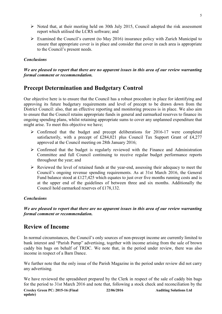- $\triangleright$  Noted that, at their meeting held on 30th July 2015, Council adopted the risk assessment report which utilised the LCRS software; and
- $\triangleright$  Examined the Council's current (to May 2016) insurance policy with Zurich Municipal to ensure that appropriate cover is in place and consider that cover in each area is appropriate to the Council's present needs.

#### *Conclusions*

#### *We are pleased to report that there are no apparent issues in this area of our review warranting formal comment or recommendation.*

### **Precept Determination and Budgetary Control**

Our objective here is to ensure that the Council has a robust procedure in place for identifying and approving its future budgetary requirements and level of precept to be drawn down from the District Council: also, that an effective reporting and monitoring process is in place. We also aim to ensure that the Council retains appropriate funds in general and earmarked reserves to finance its ongoing spending plans, whilst retaining appropriate sums to cover any unplanned expenditure that might arise. To meet this objective we have;

- $\triangleright$  Confirmed that the budget and precept deliberations for 2016-17 were completed satisfactorily, with a precept of £284,021 plus Council Tax Support Grant of £4,277 approved at the Council meeting on 28th January 2016;
- $\triangleright$  Confirmed that the budget is regularly reviewed with the Finance and Administration Committee and full Council continuing to receive regular budget performance reports throughout the year; and
- $\triangleright$  Reviewed the level of retained funds at the year-end, assessing their adequacy to meet the Council's ongoing revenue spending requirements. As at 31st March 2016, the General Fund balance stood at £127,425 which equates to just over five months running costs and is at the upper end of the guidelines of between three and six months. Additionally the Council hold earmarked reserves of £178,132.

#### *Conclusions*

*We are pleased to report that there are no apparent issues in this area of our review warranting formal comment or recommendation.* 

### **Review of Income**

In normal circumstances, the Council's only sources of non-precept income are currently limited to bank interest and "Parish Pump" advertising, together with income arising from the sale of brown caddy bin bags on behalf of TRDC. We note that, in the period under review, there was also income in respect of a Barn Dance.

We further note that the only issue of the Parish Magazine in the period under review did not carry any advertising.

We have reviewed the spreadsheet prepared by the Clerk in respect of the sale of caddy bin bags for the period to 31st March 2016 and note that, following a stock check and reconciliation by the

**Croxley Green PC: 2015-16 (Final update) 22/06/2016 Auditing Solutions Ltd**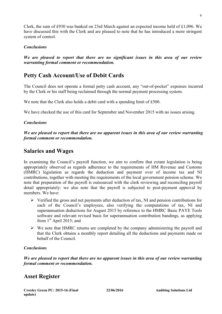Clerk, the sum of £930 was banked on 23rd March against an expected income held of £1,096. We have discussed this with the Clerk and are pleased to note that he has introduced a more stringent system of control.

#### *Conclusions*

*We are pleased to report that there are no significant issues in this area of our review warranting formal comment or recommendation.* 

### **Petty Cash Account/Use of Debit Cards**

The Council does not operate a formal petty cash account, any "out-of-pocket" expenses incurred by the Clerk or his staff being reclaimed through the normal payment processing system.

We note that the Clerk also holds a debit card with a spending limit of £500.

We have checked the use of this card for September and November 2015 with no issues arising.

#### *Conclusions*

*We are pleased to report that there are no apparent issues in this area of our review warranting formal comment or recommendation.*

### **Salaries and Wages**

In examining the Council's payroll function, we aim to confirm that extant legislation is being appropriately observed as regards adherence to the requirements of HM Revenue and Customs (HMRC) legislation as regards the deduction and payment over of income tax and NI contributions, together with meeting the requirements of the local government pension scheme. We note that preparation of the payroll is outsourced with the clerk reviewing and reconciling payroll detail appropriately: we also note that the payroll is subjected to post-payment approval by members. We have:

- $\triangleright$  Verified the gross and net payments after deduction of tax, NI and pension contributions for each of the Council's employees, also verifying the computations of tax, NI and superannuation deductions for August 2015 by reference to the HMRC Basic PAYE Tools software and relevant revised basis for superannuation contribution bandings, as applying from  $1<sup>st</sup>$  April 2015; and
- $\triangleright$  We note that HMRC returns are completed by the company administering the payroll and that the Clerk obtains a monthly report detailing all the deductions and payments made on behalf of the Council.

#### *Conclusions*

*We are pleased to report that there are no apparent issues in this area of our review warranting formal comment or recommendation.* 

### **Asset Register**